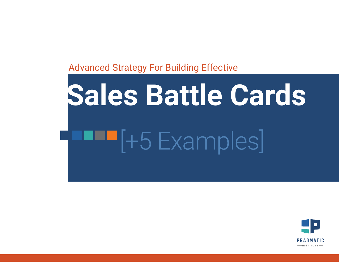## Advanced Strategy For Building Effective

# **F** [+5 Examples] **Sales Battle Cards**

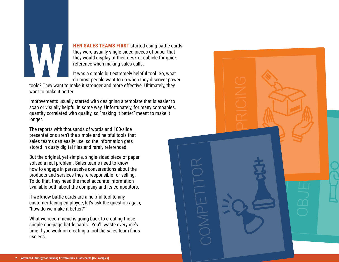

**HEN SALES TEAMS FIRST** started using battle cards, they were usually single-sided pieces of paper that they would display at their desk or cubicle for quick reference when making sales calls.

It was a simple but extremely helpful tool. So, what do most people want to do when they discover power

OBJECTIONS

PRICING

COMPTER COMPTE

COMP<sub>ET</sub>

tools? They want to make it stronger and more effective. Ultimately, they want to make it better.

Improvements usually started with designing a template that is easier to scan or visually helpful in some way. Unfortunately, for many companies, quantity correlated with quality, so "making it better" meant to make it longer.

The reports with thousands of words and 100-slide presentations aren't the simple and helpful tools that sales teams can easily use, so the information gets stored in dusty digital files and rarely referenced.

But the original, yet simple, single-sided piece of paper solved a real problem. Sales teams need to know how to engage in persuasive conversations about the products and services they're responsible for selling. To do that, they need the most accurate information available both about the company and its competitors.

If we know battle cards are a helpful tool to any customer-facing employee, let's ask the question again, "how do we make it better?"

What we recommend is going back to creating those simple one-page battle cards. You'll waste everyone's time if you work on creating a tool the sales team finds useless.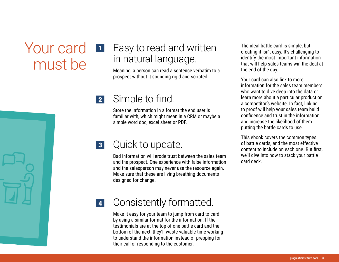## Your card must be 1

## Easy to read and written in natural language.

Meaning, a person can read a sentence verbatim to a prospect without it sounding rigid and scripted.

#### Simple to find. 2

Store the information in a format the end user is familiar with, which might mean in a CRM or maybe a simple word doc, excel sheet or PDF.

#### Quick to update. 3

Bad information will erode trust between the sales team and the prospect. One experience with false information and the salesperson may never use the resource again. Make sure that these are living breathing documents designed for change.

The ideal battle card is simple, but creating it isn't easy. It's challenging to identify the most important information that will help sales teams win the deal at the end of the day.

Your card can also link to more information for the sales team members who want to dive deep into the data or learn more about a particular product on a competitor's website. In fact, linking to proof will help your sales team build confidence and trust in the information and increase the likelihood of them putting the battle cards to use.

This ebook covers the common types of battle cards, and the most effective content to include on each one. But first, we'll dive into how to stack your battle card deck.

4

## Consistently formatted.

Make it easy for your team to jump from card to card by using a similar format for the information. If the testimonials are at the top of one battle card and the bottom of the next, they'll waste valuable time working to understand the information instead of prepping for their call or responding to the customer.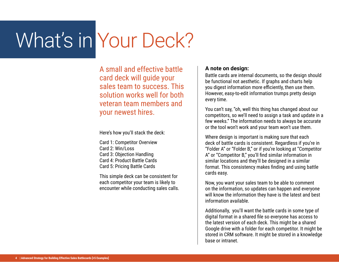## What's in Your Deck?

A small and effective battle card deck will guide your sales team to success. This solution works well for both veteran team members and your newest hires.

Here's how you'll stack the deck:

Card 1: Competitor Overview Card 2: Win/Loss Card 3: Objection Handling Card 4: Product Battle Cards Card 5: Pricing Battle Cards

This simple deck can be consistent for each competitor your team is likely to encounter while conducting sales calls.

#### **A note on design:**

Battle cards are internal documents, so the design should be functional not aesthetic. If graphs and charts help you digest information more efficiently, then use them. However, easy-to-edit information trumps pretty design every time.

You can't say, "oh, well this thing has changed about our competitors, so we'll need to assign a task and update in a few weeks." The information needs to always be accurate or the tool won't work and your team won't use them.

Where design is important is making sure that each deck of battle cards is consistent. Regardless if you're in "Folder A" or "Folder B," or if you're looking at "Competitor A" or "Competitor B," you'll find similar information in similar locations and they'll be designed in a similar format. This consistency makes finding and using battle cards easy.

Now, you want your sales team to be able to comment on the information, so updates can happen and everyone will know the information they have is the latest and best information available.

Additionally, you'll want the battle cards in some type of digital format in a shared file so everyone has access to the latest version of each deck. This might be a shared Google drive with a folder for each competitor. It might be stored in CRM software. It might be stored in a knowledge base or intranet.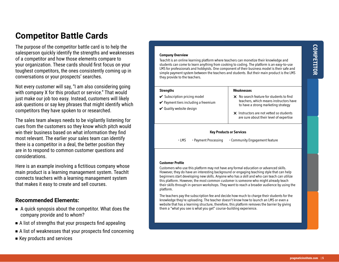## **Competitor Battle Cards**

The purpose of the competitor battle card is to help the salesperson quickly identify the strengths and weaknesses of a competitor and how those elements compare to your organization. These cards should first focus on your toughest competitors, the ones consistently coming up in conversations or your prospects' searches.

Not every customer will say, "I am also considering going with company X for this product or service." That would just make our job too easy. Instead, customers will likely ask questions or say key phrases that might identify which competitors they have spoken to or researched.

The sales team always needs to be vigilantly listening for cues from the customers so they know which pitch would win their business based on what information they find most relevant. The earlier your sales team can identify there is a competitor in a deal, the better position they are in to respond to common customer questions and considerations.

Here is an example involving a fictitious company whose main product is a learning management system. TeachIt connects teachers with a learning management system that makes it easy to create and sell courses.

#### **Recommended Elements:**

- <sup>n</sup>A quick synopsis about the competitor. What does the company provide and to whom?
- $\blacksquare$  A list of strengths that your prospects find appealing
- $\blacksquare$  A list of weaknesses that your prospects find concerning
- $\blacksquare$  Key products and services

#### **Company Overview**

TeachIt is an online learning platform where teachers can monetize their knowledge and students can come to learn anything from cooking to coding. The platform is an easy-to-use LMS for professionals and hobbyists. One component of their business model is their safe and simple payment system between the teachers and students. But their main product is the LMS they provide to the teachers.

#### **Strengths**

- $\checkmark$  Subscription pricing model
- $\vee$  Payment tiers including a freemium
- $\vee$  Quality website design

#### **Weaknesses**

- $\times$  No search feature for students to find teachers, which means instructors have to have a strong marketing strategy
- $\times$  Instructors are not vetted so students are sure about their level of expertise

#### **Key Products or Services**

• LMS • Payment Processing • Community Engagement feature

#### **Customer Profile**

Customers who use this platform may not have any formal education or advanced skills. However, they do have an interesting background or engaging teaching style that can help beginners start developing new skills. Anyone who has a skill and who can teach can utilize this platform. However, the most common customer is someone who might already teach their skills through in-person workshops. They want to reach a broader audience by using the platform.

The teachers pay the subscription fee and decide how much to charge their students for the knowledge they're uploading. The teacher doesn't know how to launch an LMS or even a website that has a learning structure, therefore, this platform removes the barrier by giving them a "what you see is what you get" course-building experience.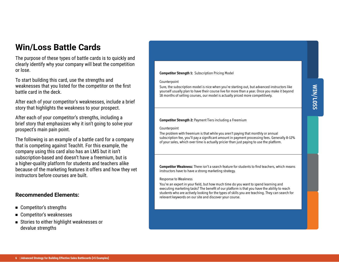## **Win/Loss Battle Cards**

The purpose of these types of battle cards is to quickly and clearly identify why your company will beat the competition or lose.

To start building this card, use the strengths and weaknesses that you listed for the competitor on the first battle card in the deck.

After each of your competitor's weaknesses, include a brief story that highlights the weakness to your prospect.

After each of your competitor's strengths, including a brief story that emphasizes why it isn't going to solve your prospect's main pain point.

The following is an example of a battle card for a company that is competing against TeachIt. For this example, the company using this card also has an LMS but it isn't subscription-based and doesn't have a freemium, but is a higher-quality platform for students and teachers alike because of the marketing features it offers and how they vet instructors before courses are built.

#### **Recommended Elements:**

- Competitor's strengths
- Competitor's weaknesses
- Stories to either highlight weaknesses or devalue strengths

#### **Competitor Strength 1:** Subscription Pricing Model

#### Counterpoint

Sure, the subscription model is nice when you're starting out, but advanced instructors like yourself usually plan to have their course live for more than a year. Once you make it beyond 18 months of selling courses, our model is actually priced more competitively.

#### **Competitor Strength 2:** Payment Tiers including a Freemium

#### Counterpoint

The problem with freemium is that while you aren't paying that monthly or annual subscription fee, you'll pay a significant amount in payment processing fees. Generally 8-12% of your sales, which over time is actually pricier than just paying to use the platform.

**Competitor Weakness:** There isn't a search feature for students to find teachers, which means instructors have to have a strong marketing strategy.

#### Response to Weakness

You're an expert in your field, but how much time do you want to spend learning and executing marketing tasks? The benefit of our platform is that you have the ability to reach students who are actively looking for the types of skills you are teaching. They can search for relevant keywords on our site and discover your course.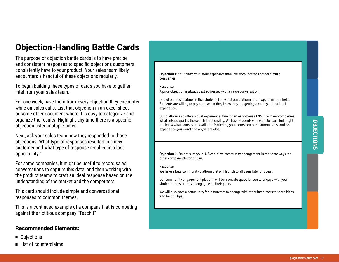## **Objection-Handling Battle Cards**

The purpose of objection battle cards is to have precise and consistent responses to specific objections customers consistently have to your product. Your sales team likely encounters a handful of these objections regularly.

To begin building these types of cards you have to gather intel from your sales team.

For one week, have them track every objection they encounter while on sales calls. List that objection in an excel sheet or some other document where it is easy to categorize and organize the results. Highlight any time there is a specific objection listed multiple times.

Next, ask your sales team how they responded to those objections. What type of responses resulted in a new customer and what type of response resulted in a lost opportunity?

For some companies, it might be useful to record sales conversations to capture this data, and then working with the product teams to craft an ideal response based on the understanding of the market and the competitors.

This card should include simple and conversational responses to common themes.

This is a continued example of a company that is competing against the fictitious company "TeachIt"

#### **Recommended Elements:**

- <sup>n</sup>Objections
- List of counterclaims

**Objection 1:** Your platform is more expensive than I've encountered at other similar companies.

Response

A price objection is always best addressed with a value conversation.

One of our best features is that students know that our platform is for experts in their field. Students are willing to pay more when they know they are getting a quality educational experience.

Our platform also offers a dual experience. One it's an easy-to-use LMS, like many companies. What sets us apart is the search functionality. We have students who want to learn but might not know what courses are available. Marketing your course on our platform is a seamless experience you won't find anywhere else.

**Objection 2:** I'm not sure your LMS can drive community engagement in the same ways the other company platforms can.

Response

We have a beta community platform that will launch to all users later this year.

Our community engagement platform will be a private space for you to engage with your students and students to engage with their peers.

We will also have a community for instructors to engage with other instructors to share ideas and helpful tips.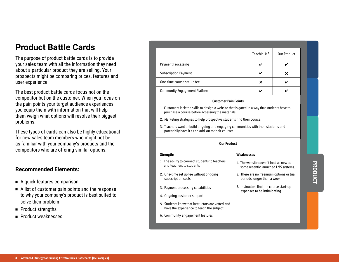### **Product Battle Cards**

The purpose of product battle cards is to provide your sales team with all the information they need about a particular product they are selling. Your prospects might be comparing prices, features and user experience.

The best product battle cards focus not on the competitor but on the customer. When you focus on the pain points your target audience experiences, you equip them with information that will help them weigh what options will resolve their biggest problems.

These types of cards can also be highly educational for new sales team members who might not be as familiar with your company's products and the competitors who are offering similar options.

#### **Recommended Elements:**

- A quick features comparison
- <sup>n</sup>A list of customer pain points and the response to why your company's product is best suited to solve their problem
- **n** Product strengths
- <sup>n</sup>Product weaknesses

|                                      | <b>TeachIt LMS</b> | Our Product |
|--------------------------------------|--------------------|-------------|
| Payment Processing                   |                    |             |
| <b>Subscription Payment</b>          |                    |             |
| One-time course set-up fee           | x                  |             |
| <b>Community Engagement Platform</b> |                    |             |

#### **Customer Pain Points**

- 1. Customers lack the skills to design a website that is gated in a way that students have to purchase a course before accessing the materials.
- 2. Marketing strategies to help prospective students find their course.

1. The ability to connect students to teachers

5. Students know that instructors are vetted and have the experience to teach the subject

2. One-time set up fee without ongoing

3. Payment processing capabilities

6. Community engagement features

4. Ongoing customer support

and teachers to students

subscription costs

**Strengths**

3. Teachers want to build ongoing and engaging communities with their students and potentially have it as an add-on to their courses.

#### **Our Product**

#### **Weaknesses**

- 1. The website doesn't look as new as some recently launched LMS systems.
- 2. There are no freemium options or trial periods longer than a week
- 3. Instructors find the course start-up expenses to be intimidating
- PRODUCT **PRODUCT**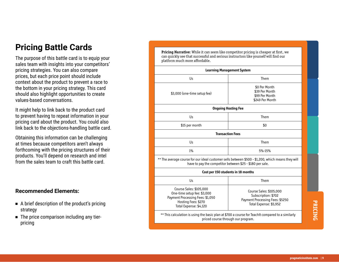## **Pricing Battle Cards**

The purpose of this battle card is to equip your sales team with insights into your competitors' pricing strategies. You can also compare prices, but each price point should include context about the product to prevent a race to the bottom in your pricing strategy. This card should also highlight opportunities to create values-based conversations.

It might help to link back to the product card to prevent having to repeat information in your pricing card about the product. You could also link back to the objections-handling battle card.

Obtaining this information can be challenging at times because competitors aren't always forthcoming with the pricing structures of their products. You'll depend on research and intel from the sales team to craft this battle card.

#### **Recommended Elements:**

- A brief description of the product's pricing strategy
- The price comparison including any tierpricing

**Pricing Narrative**: While it can seem like competitor pricing is cheaper at first, we can quickly see that successful and serious instructors like yourself will find our platform much more affordable.

| <b>Learning Management System</b>                                                                                                                              |                                                                                                             |  |
|----------------------------------------------------------------------------------------------------------------------------------------------------------------|-------------------------------------------------------------------------------------------------------------|--|
| Us                                                                                                                                                             | Them                                                                                                        |  |
| \$3,000 (one-time setup fee)                                                                                                                                   | \$0 Per Month<br>\$39 Per Month<br>\$99 Per Month<br>\$249 Per Month                                        |  |
| <b>Ongoing Hosting Fee</b>                                                                                                                                     |                                                                                                             |  |
| Us                                                                                                                                                             | Them                                                                                                        |  |
| \$15 per month                                                                                                                                                 | \$0                                                                                                         |  |
| <b>Transaction Fees</b>                                                                                                                                        |                                                                                                             |  |
| Us                                                                                                                                                             | Them                                                                                                        |  |
| $1\%$                                                                                                                                                          | 5%-15%                                                                                                      |  |
| ** The average course for our ideal customer sells between \$500 - \$1,200, which means they will<br>have to pay the competitor between \$25 - \$180 per sale. |                                                                                                             |  |
| Cost per 150 students in 18 months                                                                                                                             |                                                                                                             |  |
| Us                                                                                                                                                             | Them                                                                                                        |  |
| Course Sales: \$105,000<br>One-time setup fee: \$3,000<br>Payment Processing Fees: \$1,050<br>Hosting Fees: \$270<br>Total Expense: \$4,120                    | Course Sales: \$105,000<br>Subscription: \$702<br>Payment Processing Fees: \$5250<br>Total Expense: \$5,952 |  |
| ** This calculation is using the basic plan at \$700 a course for TeachIt compared to a similarly<br>priced course through our program.                        |                                                                                                             |  |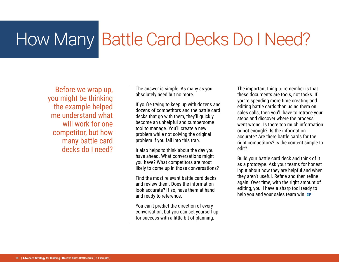## How Many Battle Card Decks Do I Need?

Before we wrap up, you might be thinking the example helped me understand what will work for one competitor, but how many battle card decks do I need?

The answer is simple: As many as you absolutely need but no more.

If you're trying to keep up with dozens and dozens of competitors and the battle card decks that go with them, they'll quickly become an unhelpful and cumbersome tool to manage. You'll create a new problem while not solving the original problem if you fall into this trap.

It also helps to think about the day you have ahead. What conversations might you have? What competitors are most likely to come up in those conversations?

Find the most relevant battle card decks and review them. Does the information look accurate? If so, have them at hand and ready to reference.

You can't predict the direction of every conversation, but you can set yourself up for success with a little bit of planning.

The important thing to remember is that these documents are tools, not tasks. If you're spending more time creating and editing battle cards than using them on sales calls, then you'll have to retrace your steps and discover where the process went wrong. Is there too much information or not enough? Is the information accurate? Are there battle cards for the right competitors? Is the content simple to edit?

Build your battle card deck and think of it as a prototype. Ask your teams for honest input about how they are helpful and when they aren't useful. Refine and then refine again. Over time, with the right amount of editing, you'll have a sharp tool ready to help you and your sales team win.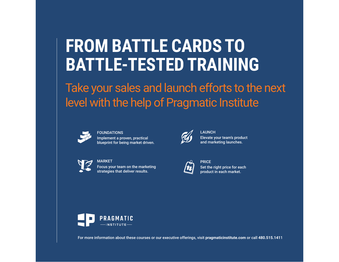## **FROM BATTLE CARDS TO BATTLE-TESTED TRAINING**

Take your sales and launch efforts to the next level with the help of Pragmatic Institute



FOUNDATIONS

Implement a proven, practical [blueprint for being market driven.](https://www.pragmaticinstitute.com/course/product/foundations)



MARKET [Focus your team on the marketing](https://www.pragmaticinstitute.com/course/product/market/)  strategies that deliver results.



**LAUNCH** [Elevate your team's product](https://www.pragmaticinstitute.com/course/product/launch/)  and marketing launches.



**PRICE** [Set the right price for each](https://www.pragmaticinstitute.com/course/product/price/)  product in each market.



[For more information about these courses or our executive offerings, visit](https://www.pragmaticinstitute.com/) **pragmaticinstitute.com** or call **480.515.141**1